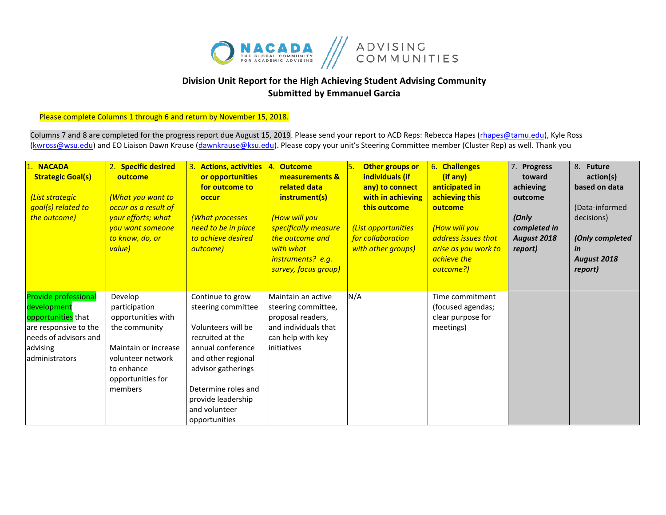

## **Division Unit Report for the High Achieving Student Advising Community Submitted by Emmanuel Garcia**

Please complete Columns 1 through 6 and return by November 15, 2018.

Columns 7 and 8 are completed for the progress report due August 15, 2019. Please send your report to ACD Reps: Rebecca Hapes (rhapes@tamu.edu), Kyle Ross [\(kwross@wsu.edu\)](mailto:kwross@wsu.edu) and EO Liaison Dawn Krause (dawnkrause@ksu.edu). Please copy your unit's Steering Committee member (Cluster Rep) as well. Thank you

| <b>NACADA</b><br><b>Strategic Goal(s)</b><br>(List strategic<br>goal(s) related to<br>the outcome)                                               | 2. Specific desired<br>outcome<br>(What you want to<br>occur as a result of<br>your efforts; what<br>you want someone<br>to know, do, or<br>value)         | 3. Actions, activities<br>or opportunities<br>for outcome to<br>occur<br>(What processes<br>need to be in place<br>to achieve desired<br>outcome)                                                                                | <b>Outcome</b><br><u>14.</u><br>measurements &<br>related data<br>instrument(s)<br>(How will you<br>specifically measure<br>the outcome and<br>with what<br>instruments? e.g.<br>survey, focus group) | Other groups or<br>individuals (if<br>any) to connect<br>with in achieving<br>this outcome<br>(List opportunities<br>for collaboration<br>with other groups) | 6. Challenges<br>(if any)<br>anticipated in<br>achieving this<br>outcome<br>(How will you<br>address issues that<br>arise as you work to<br>achieve the<br>outcome?) | 7. Progress<br>toward<br>achieving<br>outcome<br>(Only<br>completed in<br>August 2018<br>report) | 8. Future<br>action(s)<br>based on data<br>(Data-informed<br>decisions)<br>(Only completed<br>in<br><b>August 2018</b><br>report) |
|--------------------------------------------------------------------------------------------------------------------------------------------------|------------------------------------------------------------------------------------------------------------------------------------------------------------|----------------------------------------------------------------------------------------------------------------------------------------------------------------------------------------------------------------------------------|-------------------------------------------------------------------------------------------------------------------------------------------------------------------------------------------------------|--------------------------------------------------------------------------------------------------------------------------------------------------------------|----------------------------------------------------------------------------------------------------------------------------------------------------------------------|--------------------------------------------------------------------------------------------------|-----------------------------------------------------------------------------------------------------------------------------------|
| <b>Provide professional</b><br>development<br>opportunities that<br>are responsive to the<br>needs of advisors and<br>advising<br>administrators | Develop<br>participation<br>opportunities with<br>the community<br>Maintain or increase<br>volunteer network<br>to enhance<br>opportunities for<br>members | Continue to grow<br>steering committee<br>Volunteers will be<br>recruited at the<br>annual conference<br>and other regional<br>advisor gatherings<br>Determine roles and<br>provide leadership<br>and volunteer<br>opportunities | Maintain an active<br>steering committee,<br>proposal readers,<br>land individuals that<br>can help with key<br>initiatives                                                                           | N/A                                                                                                                                                          | Time commitment<br>(focused agendas;<br>clear purpose for<br>meetings)                                                                                               |                                                                                                  |                                                                                                                                   |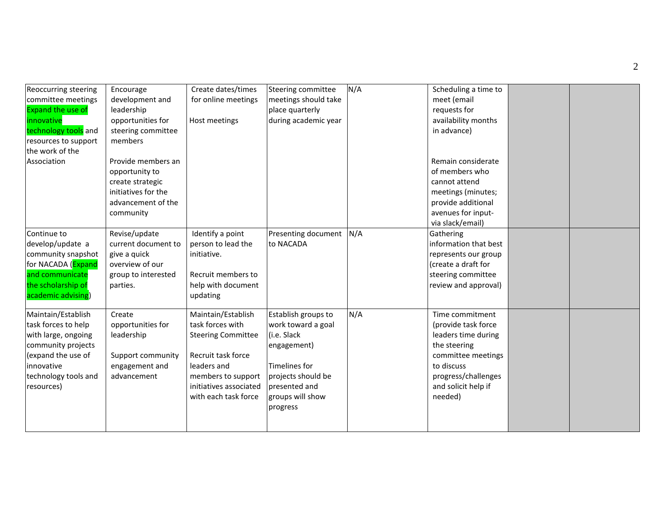| <b>Reoccurring steering</b><br>committee meetings<br><b>Expand the use of</b><br>innovative<br>technology tools and<br>resources to support<br>the work of the<br>Association | Encourage<br>development and<br>leadership<br>opportunities for<br>steering committee<br>members<br>Provide members an<br>opportunity to<br>create strategic<br>initiatives for the<br>advancement of the<br>community | Create dates/times<br>for online meetings<br>Host meetings                                                                                                                       | <b>Steering committee</b><br>meetings should take<br>place quarterly<br>during academic year                                                                           | N/A | Scheduling a time to<br>meet (email<br>requests for<br>availability months<br>in advance)<br>Remain considerate<br>of members who<br>cannot attend<br>meetings (minutes;<br>provide additional<br>avenues for input-<br>via slack/email) |  |
|-------------------------------------------------------------------------------------------------------------------------------------------------------------------------------|------------------------------------------------------------------------------------------------------------------------------------------------------------------------------------------------------------------------|----------------------------------------------------------------------------------------------------------------------------------------------------------------------------------|------------------------------------------------------------------------------------------------------------------------------------------------------------------------|-----|------------------------------------------------------------------------------------------------------------------------------------------------------------------------------------------------------------------------------------------|--|
| Continue to<br>develop/update a<br>community snapshot<br>for NACADA (Expand<br>and communicate<br>the scholarship of<br>academic advising)                                    | Revise/update<br>current document to<br>give a quick<br>overview of our<br>group to interested<br>parties.                                                                                                             | Identify a point<br>person to lead the<br>initiative.<br>Recruit members to<br>help with document<br>updating                                                                    | Presenting document<br>to NACADA                                                                                                                                       | N/A | Gathering<br>information that best<br>represents our group<br>(create a draft for<br>steering committee<br>review and approval)                                                                                                          |  |
| Maintain/Establish<br>task forces to help<br>with large, ongoing<br>community projects<br>(expand the use of<br>innovative<br>technology tools and<br>resources)              | Create<br>opportunities for<br>leadership<br>Support community<br>engagement and<br>advancement                                                                                                                        | Maintain/Establish<br>task forces with<br><b>Steering Committee</b><br>Recruit task force<br>leaders and<br>members to support<br>initiatives associated<br>with each task force | Establish groups to<br>work toward a goal<br>(i.e. Slack<br>engagement)<br><b>Timelines for</b><br>projects should be<br>presented and<br>groups will show<br>progress | N/A | Time commitment<br>(provide task force<br>leaders time during<br>the steering<br>committee meetings<br>to discuss<br>progress/challenges<br>and solicit help if<br>needed)                                                               |  |